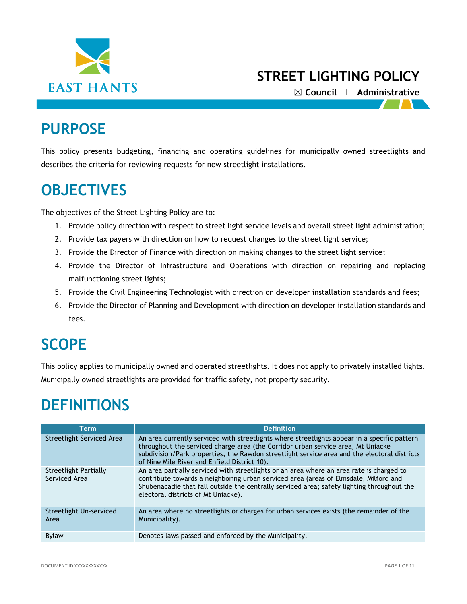

☒ **Council** ☐ **Administrative**

# **PURPOSE**

This policy presents budgeting, financing and operating guidelines for municipally owned streetlights and describes the criteria for reviewing requests for new streetlight installations.

## **OBJECTIVES**

The objectives of the Street Lighting Policy are to:

- 1. Provide policy direction with respect to street light service levels and overall street light administration;
- 2. Provide tax payers with direction on how to request changes to the street light service;
- 3. Provide the Director of Finance with direction on making changes to the street light service;
- 4. Provide the Director of Infrastructure and Operations with direction on repairing and replacing malfunctioning street lights;
- 5. Provide the Civil Engineering Technologist with direction on developer installation standards and fees;
- 6. Provide the Director of Planning and Development with direction on developer installation standards and fees.

# **SCOPE**

This policy applies to municipally owned and operated streetlights. It does not apply to privately installed lights. Municipally owned streetlights are provided for traffic safety, not property security.

## **DEFINITIONS**

| Term                                   | <b>Definition</b>                                                                                                                                                                                                                                                                                                                |
|----------------------------------------|----------------------------------------------------------------------------------------------------------------------------------------------------------------------------------------------------------------------------------------------------------------------------------------------------------------------------------|
| Streetlight Serviced Area              | An area currently serviced with streetlights where streetlights appear in a specific pattern<br>throughout the serviced charge area (the Corridor urban service area, Mt Uniacke<br>subdivision/Park properties, the Rawdon streetlight service area and the electoral districts<br>of Nine Mile River and Enfield District 10). |
| Streetlight Partially<br>Serviced Area | An area partially serviced with streetlights or an area where an area rate is charged to<br>contribute towards a neighboring urban serviced area (areas of Elmsdale, Milford and<br>Shubenacadie that fall outside the centrally serviced area; safety lighting throughout the<br>electoral districts of Mt Uniacke).            |
| Streetlight Un-serviced<br>Area        | An area where no streetlights or charges for urban services exists (the remainder of the<br>Municipality).                                                                                                                                                                                                                       |
| <b>Bylaw</b>                           | Denotes laws passed and enforced by the Municipality.                                                                                                                                                                                                                                                                            |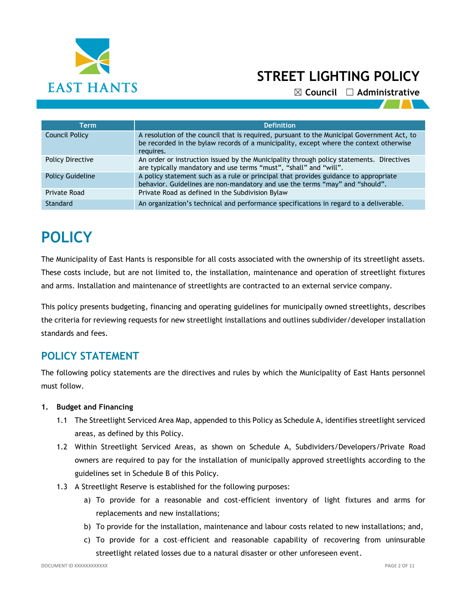

☒ **Council** ☐ **Administrative**

| Term                    | <b>Definition</b>                                                                                                                                                                                 |
|-------------------------|---------------------------------------------------------------------------------------------------------------------------------------------------------------------------------------------------|
| Council Policy          | A resolution of the council that is required, pursuant to the Municipal Government Act, to<br>be recorded in the bylaw records of a municipality, except where the context otherwise<br>requires. |
| <b>Policy Directive</b> | An order or instruction issued by the Municipality through policy statements. Directives<br>are typically mandatory and use terms "must", "shall" and "will".                                     |
| <b>Policy Guideline</b> | A policy statement such as a rule or principal that provides guidance to appropriate<br>behavior. Guidelines are non-mandatory and use the terms "may" and "should".                              |
| Private Road            | Private Road as defined in the Subdivision Bylaw                                                                                                                                                  |
| Standard                | An organization's technical and performance specifications in regard to a deliverable.                                                                                                            |

# **POLICY**

The Municipality of East Hants is responsible for all costs associated with the ownership of its streetlight assets. These costs include, but are not limited to, the installation, maintenance and operation of streetlight fixtures and arms. Installation and maintenance of streetlights are contracted to an external service company.

This policy presents budgeting, financing and operating guidelines for municipally owned streetlights, describes the criteria for reviewing requests for new streetlight installations and outlines subdivider/developer installation standards and fees.

### **POLICY STATEMENT**

The following policy statements are the directives and rules by which the Municipality of East Hants personnel must follow.

#### **1. Budget and Financing**

- 1.1 The Streetlight Serviced Area Map, appended to this Policy as Schedule A, identifies streetlight serviced areas, as defined by this Policy.
- 1.2 Within Streetlight Serviced Areas, as shown on Schedule A, Subdividers/Developers/Private Road owners are required to pay for the installation of municipally approved streetlights according to the guidelines set in Schedule B of this Policy.
- 1.3 A Streetlight Reserve is established for the following purposes:
	- a) To provide for a reasonable and cost-efficient inventory of light fixtures and arms for replacements and new installations;
	- b) To provide for the installation, maintenance and labour costs related to new installations; and,
	- c) To provide for a cost–efficient and reasonable capability of recovering from uninsurable streetlight related losses due to a natural disaster or other unforeseen event.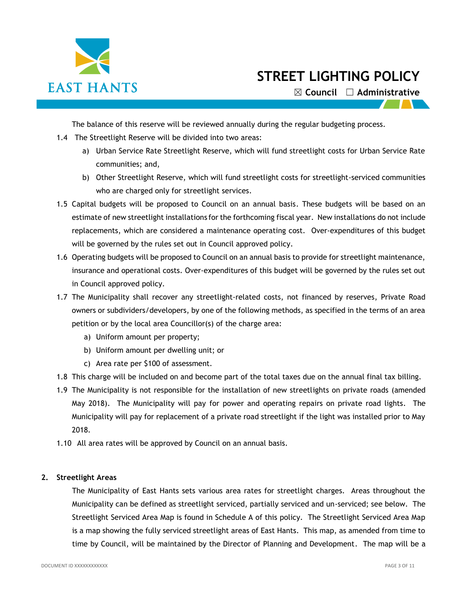

☒ **Council** ☐ **Administrative**

The balance of this reserve will be reviewed annually during the regular budgeting process.

- 1.4 The Streetlight Reserve will be divided into two areas:
	- a) Urban Service Rate Streetlight Reserve, which will fund streetlight costs for Urban Service Rate communities; and,
	- b) Other Streetlight Reserve, which will fund streetlight costs for streetlight-serviced communities who are charged only for streetlight services.
- 1.5 Capital budgets will be proposed to Council on an annual basis. These budgets will be based on an estimate of new streetlight installations for the forthcoming fiscal year. New installations do not include replacements, which are considered a maintenance operating cost. Over-expenditures of this budget will be governed by the rules set out in Council approved policy.
- 1.6 Operating budgets will be proposed to Council on an annual basis to provide for streetlight maintenance, insurance and operational costs. Over-expenditures of this budget will be governed by the rules set out in Council approved policy.
- 1.7 The Municipality shall recover any streetlight-related costs, not financed by reserves, Private Road owners or subdividers/developers, by one of the following methods, as specified in the terms of an area petition or by the local area Councillor(s) of the charge area:
	- a) Uniform amount per property;
	- b) Uniform amount per dwelling unit; or
	- c) Area rate per \$100 of assessment.
- 1.8 This charge will be included on and become part of the total taxes due on the annual final tax billing.
- 1.9 The Municipality is not responsible for the installation of new streetlights on private roads (amended May 2018). The Municipality will pay for power and operating repairs on private road lights. The Municipality will pay for replacement of a private road streetlight if the light was installed prior to May 2018.
- 1.10 All area rates will be approved by Council on an annual basis.

#### **2. Streetlight Areas**

The Municipality of East Hants sets various area rates for streetlight charges. Areas throughout the Municipality can be defined as streetlight serviced, partially serviced and un-serviced; see below. The Streetlight Serviced Area Map is found in Schedule A of this policy. The Streetlight Serviced Area Map is a map showing the fully serviced streetlight areas of East Hants. This map, as amended from time to time by Council, will be maintained by the Director of Planning and Development. The map will be a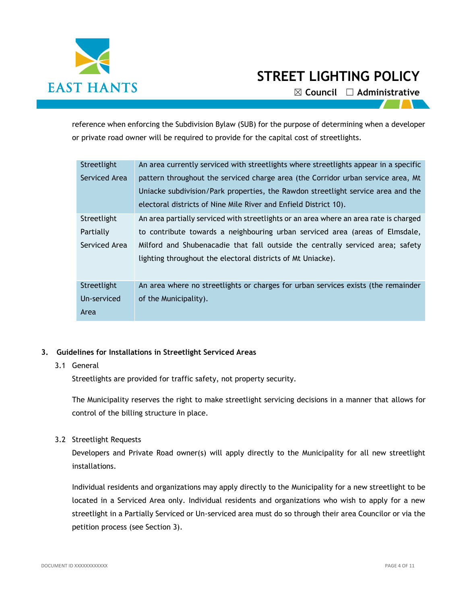

☒ **Council** ☐ **Administrative**

reference when enforcing the Subdivision Bylaw (SUB) for the purpose of determining when a developer or private road owner will be required to provide for the capital cost of streetlights.

| Streetlight   | An area currently serviced with streetlights where streetlights appear in a specific  |
|---------------|---------------------------------------------------------------------------------------|
| Serviced Area | pattern throughout the serviced charge area (the Corridor urban service area, Mt      |
|               | Uniacke subdivision/Park properties, the Rawdon streetlight service area and the      |
|               | electoral districts of Nine Mile River and Enfield District 10).                      |
| Streetlight   | An area partially serviced with streetlights or an area where an area rate is charged |
| Partially     | to contribute towards a neighbouring urban serviced area (areas of Elmsdale,          |
| Serviced Area | Milford and Shubenacadie that fall outside the centrally serviced area; safety        |
|               | lighting throughout the electoral districts of Mt Uniacke).                           |
|               |                                                                                       |
| Streetlight   | An area where no streetlights or charges for urban services exists (the remainder     |
| Un-serviced   | of the Municipality).                                                                 |
| Area          |                                                                                       |

#### **3. Guidelines for Installations in Streetlight Serviced Areas**

#### 3.1 General

Streetlights are provided for traffic safety, not property security.

The Municipality reserves the right to make streetlight servicing decisions in a manner that allows for control of the billing structure in place.

#### 3.2 Streetlight Requests

Developers and Private Road owner(s) will apply directly to the Municipality for all new streetlight installations.

Individual residents and organizations may apply directly to the Municipality for a new streetlight to be located in a Serviced Area only. Individual residents and organizations who wish to apply for a new streetlight in a Partially Serviced or Un-serviced area must do so through their area Councilor or via the petition process (see Section 3).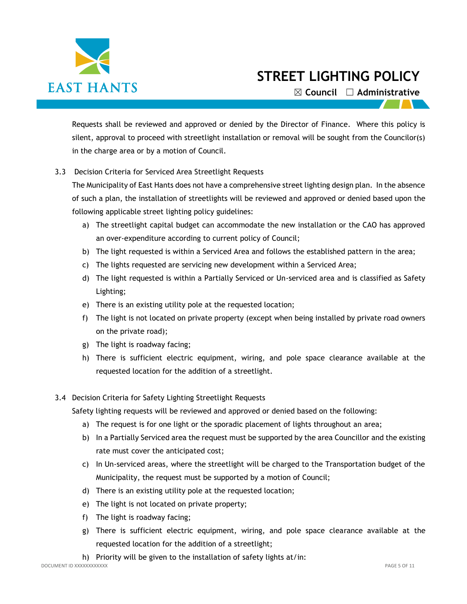

☒ **Council** ☐ **Administrative**

Requests shall be reviewed and approved or denied by the Director of Finance. Where this policy is silent, approval to proceed with streetlight installation or removal will be sought from the Councilor(s) in the charge area or by a motion of Council.

3.3 Decision Criteria for Serviced Area Streetlight Requests

The Municipality of East Hants does not have a comprehensive street lighting design plan. In the absence of such a plan, the installation of streetlights will be reviewed and approved or denied based upon the following applicable street lighting policy guidelines:

- a) The streetlight capital budget can accommodate the new installation or the CAO has approved an over-expenditure according to current policy of Council;
- b) The light requested is within a Serviced Area and follows the established pattern in the area;
- c) The lights requested are servicing new development within a Serviced Area;
- d) The light requested is within a Partially Serviced or Un-serviced area and is classified as Safety Lighting;
- e) There is an existing utility pole at the requested location;
- f) The light is not located on private property (except when being installed by private road owners on the private road);
- g) The light is roadway facing;
- h) There is sufficient electric equipment, wiring, and pole space clearance available at the requested location for the addition of a streetlight.

#### 3.4 Decision Criteria for Safety Lighting Streetlight Requests

Safety lighting requests will be reviewed and approved or denied based on the following:

- a) The request is for one light or the sporadic placement of lights throughout an area;
- b) In a Partially Serviced area the request must be supported by the area Councillor and the existing rate must cover the anticipated cost;
- c) In Un-serviced areas, where the streetlight will be charged to the Transportation budget of the Municipality, the request must be supported by a motion of Council;
- d) There is an existing utility pole at the requested location;
- e) The light is not located on private property;
- f) The light is roadway facing;
- g) There is sufficient electric equipment, wiring, and pole space clearance available at the requested location for the addition of a streetlight;
- h) Priority will be given to the installation of safety lights at/in: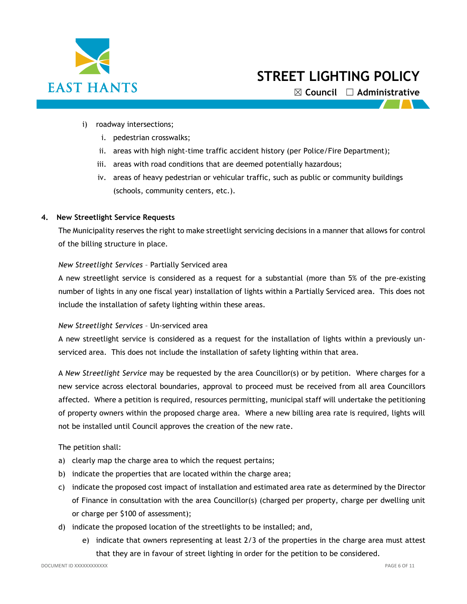

☒ **Council** ☐ **Administrative**

- i) roadway intersections;
	- i. pedestrian crosswalks;
	- ii. areas with high night-time traffic accident history (per Police/Fire Department);
	- iii. areas with road conditions that are deemed potentially hazardous;
	- iv. areas of heavy pedestrian or vehicular traffic, such as public or community buildings (schools, community centers, etc.).

#### **4. New Streetlight Service Requests**

The Municipality reserves the right to make streetlight servicing decisions in a manner that allows for control of the billing structure in place.

#### *New Streetlight Services* – Partially Serviced area

A new streetlight service is considered as a request for a substantial (more than 5% of the pre-existing number of lights in any one fiscal year) installation of lights within a Partially Serviced area. This does not include the installation of safety lighting within these areas.

#### *New Streetlight Services* – Un-serviced area

A new streetlight service is considered as a request for the installation of lights within a previously unserviced area. This does not include the installation of safety lighting within that area.

A *New Streetlight Service* may be requested by the area Councillor(s) or by petition. Where charges for a new service across electoral boundaries, approval to proceed must be received from all area Councillors affected. Where a petition is required, resources permitting, municipal staff will undertake the petitioning of property owners within the proposed charge area. Where a new billing area rate is required, lights will not be installed until Council approves the creation of the new rate.

The petition shall:

- a) clearly map the charge area to which the request pertains;
- b) indicate the properties that are located within the charge area;
- c) indicate the proposed cost impact of installation and estimated area rate as determined by the Director of Finance in consultation with the area Councillor(s) (charged per property, charge per dwelling unit or charge per \$100 of assessment);
- d) indicate the proposed location of the streetlights to be installed; and,
	- e) indicate that owners representing at least 2/3 of the properties in the charge area must attest that they are in favour of street lighting in order for the petition to be considered.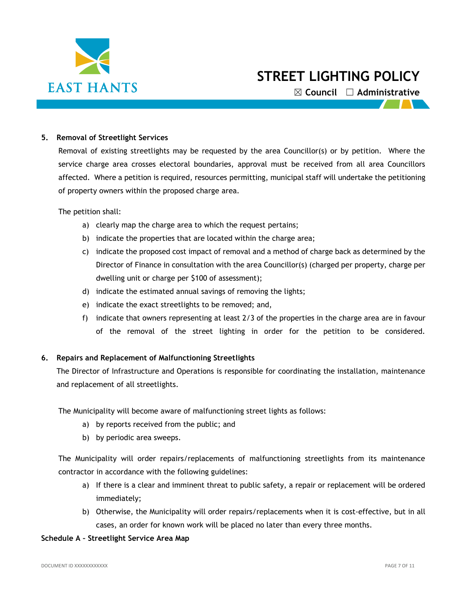

☒ **Council** ☐ **Administrative**

#### **5. Removal of Streetlight Services**

Removal of existing streetlights may be requested by the area Councillor(s) or by petition. Where the service charge area crosses electoral boundaries, approval must be received from all area Councillors affected. Where a petition is required, resources permitting, municipal staff will undertake the petitioning of property owners within the proposed charge area.

The petition shall:

- a) clearly map the charge area to which the request pertains;
- b) indicate the properties that are located within the charge area;
- c) indicate the proposed cost impact of removal and a method of charge back as determined by the Director of Finance in consultation with the area Councillor(s) (charged per property, charge per dwelling unit or charge per \$100 of assessment);
- d) indicate the estimated annual savings of removing the lights;
- e) indicate the exact streetlights to be removed; and,
- f) indicate that owners representing at least 2/3 of the properties in the charge area are in favour of the removal of the street lighting in order for the petition to be considered.

#### **6. Repairs and Replacement of Malfunctioning Streetlights**

The Director of Infrastructure and Operations is responsible for coordinating the installation, maintenance and replacement of all streetlights.

The Municipality will become aware of malfunctioning street lights as follows:

- a) by reports received from the public; and
- b) by periodic area sweeps.

The Municipality will order repairs/replacements of malfunctioning streetlights from its maintenance contractor in accordance with the following guidelines:

- a) If there is a clear and imminent threat to public safety, a repair or replacement will be ordered immediately;
- b) Otherwise, the Municipality will order repairs/replacements when it is cost-effective, but in all cases, an order for known work will be placed no later than every three months.

#### **Schedule A – Streetlight Service Area Map**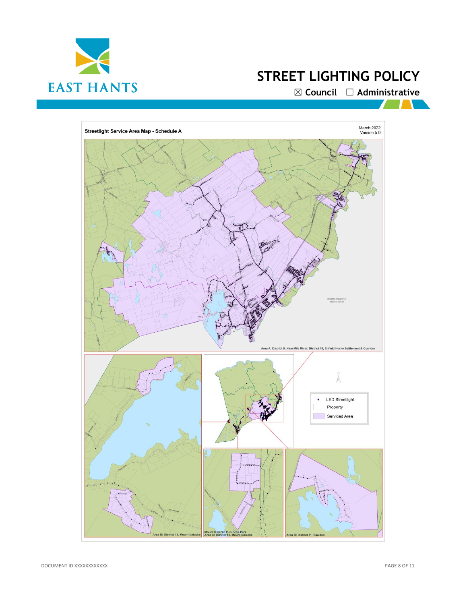

☒ **Council** ☐ **Administrative**

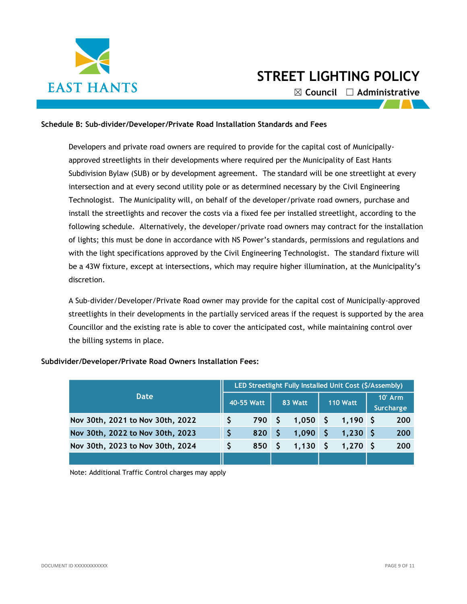

☒ **Council** ☐ **Administrative**

#### **Schedule B: Sub-divider/Developer/Private Road Installation Standards and Fees**

Developers and private road owners are required to provide for the capital cost of Municipallyapproved streetlights in their developments where required per the Municipality of East Hants Subdivision Bylaw (SUB) or by development agreement. The standard will be one streetlight at every intersection and at every second utility pole or as determined necessary by the Civil Engineering Technologist. The Municipality will, on behalf of the developer/private road owners, purchase and install the streetlights and recover the costs via a fixed fee per installed streetlight, according to the following schedule. Alternatively, the developer/private road owners may contract for the installation of lights; this must be done in accordance with NS Power's standards, permissions and regulations and with the light specifications approved by the Civil Engineering Technologist. The standard fixture will be a 43W fixture, except at intersections, which may require higher illumination, at the Municipality's discretion.

A Sub-divider/Developer/Private Road owner may provide for the capital cost of Municipally-approved streetlights in their developments in the partially serviced areas if the request is supported by the area Councillor and the existing rate is able to cover the anticipated cost, while maintaining control over the billing systems in place.

| Date                             |    | LED Streetlight Fully Installed Unit Cost (\$/Assembly) |         |       |    |                 |  |                        |
|----------------------------------|----|---------------------------------------------------------|---------|-------|----|-----------------|--|------------------------|
|                                  |    | 40-55 Watt                                              | 83 Watt |       |    | <b>110 Watt</b> |  | $10'$ Arm<br>Surcharge |
| Nov 30th, 2021 to Nov 30th, 2022 |    | 790 S                                                   |         | 1,050 | -S | $1,190$ \$      |  | 200                    |
| Nov 30th, 2022 to Nov 30th, 2023 | \$ | 820                                                     |         | 1,090 |    | 1.230 S         |  | 200                    |
| Nov 30th, 2023 to Nov 30th, 2024 | S  | 850                                                     |         | 1,130 |    | $1,270$ \$      |  | 200                    |
|                                  |    |                                                         |         |       |    |                 |  |                        |

#### **Subdivider/Developer/Private Road Owners Installation Fees:**

Note: Additional Traffic Control charges may apply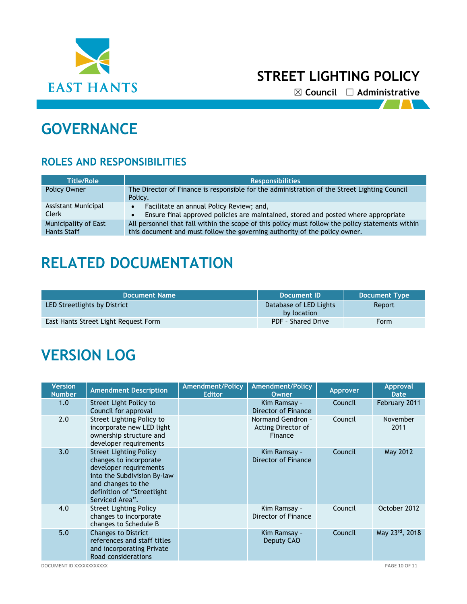

☒ **Council** ☐ **Administrative**

 $\mathcal{L}$ 

# **GOVERNANCE**

### **ROLES AND RESPONSIBILITIES**

| <b>Title/Role</b>                          | <b>Responsibilities</b>                                                                                                                                                        |  |  |  |  |  |
|--------------------------------------------|--------------------------------------------------------------------------------------------------------------------------------------------------------------------------------|--|--|--|--|--|
| <b>Policy Owner</b>                        | The Director of Finance is responsible for the administration of the Street Lighting Council<br>Policy.                                                                        |  |  |  |  |  |
| Assistant Municipal<br>Clerk               | Facilitate an annual Policy Review; and,<br>$\bullet$<br>Ensure final approved policies are maintained, stored and posted where appropriate<br>$\bullet$                       |  |  |  |  |  |
| Municipality of East<br><b>Hants Staff</b> | All personnel that fall within the scope of this policy must follow the policy statements within<br>this document and must follow the governing authority of the policy owner. |  |  |  |  |  |

## **RELATED DOCUMENTATION**

| Document Name                        | Document ID                           | <b>Document Type</b> |
|--------------------------------------|---------------------------------------|----------------------|
| LED Streetlights by District         | Database of LED Lights<br>by location | Report               |
| East Hants Street Light Request Form | PDF - Shared Drive                    | <b>Form</b>          |

# **VERSION LOG**

| <b>Version</b><br><b>Number</b> | <b>Amendment Description</b>                                                                                                                                                            | Amendment/Policy<br><b>Editor</b> | <b>Amendment/Policy</b><br><b>Owner</b>            | <b>Approver</b> | <b>Approval</b><br><b>Date</b> |
|---------------------------------|-----------------------------------------------------------------------------------------------------------------------------------------------------------------------------------------|-----------------------------------|----------------------------------------------------|-----------------|--------------------------------|
| 1.0                             | Street Light Policy to<br>Council for approval                                                                                                                                          |                                   | Kim Ramsay -<br>Director of Finance                | Council         | February 2011                  |
| 2.0                             | Street Lighting Policy to<br>incorporate new LED light<br>ownership structure and<br>developer requirements                                                                             |                                   | Normand Gendron -<br>Acting Director of<br>Finance | Council         | November<br>2011               |
| 3.0                             | <b>Street Lighting Policy</b><br>changes to incorporate<br>developer requirements<br>into the Subdivision By-law<br>and changes to the<br>definition of "Streetlight<br>Serviced Area". |                                   | Kim Ramsay -<br>Director of Finance                | Council         | May 2012                       |
| 4.0                             | <b>Street Lighting Policy</b><br>changes to incorporate<br>changes to Schedule B                                                                                                        |                                   | Kim Ramsay -<br>Director of Finance                | Council         | October 2012                   |
| 5.0                             | <b>Changes to District</b><br>references and staff titles<br>and incorporating Private<br>Road considerations                                                                           |                                   | Kim Ramsay -<br>Deputy CAO                         | Council         | May 23rd, 2018                 |

DOCUMENT ID XXXXXXXXXXXX PAGE 10 OF 11